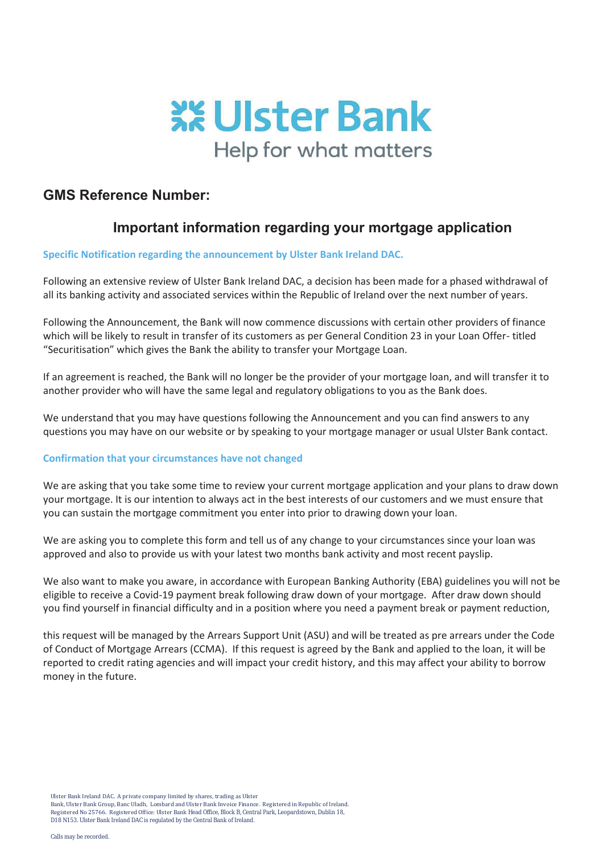

## **GMS Reference Number:**

## **Important information regarding your mortgage application**

## **Specific Notification regarding the announcement by Ulster Bank Ireland DAC.**

Following an extensive review of Ulster Bank Ireland DAC, a decision has been made for a phased withdrawal of all its banking activity and associated services within the Republic of Ireland over the next number of years.

Following the Announcement, the Bank will now commence discussions with certain other providers of finance which will be likely to result in transfer of its customers as per General Condition 23 in your Loan Offer- titled "Securitisation" which gives the Bank the ability to transfer your Mortgage Loan.

If an agreement is reached, the Bank will no longer be the provider of your mortgage loan, and will transfer it to another provider who will have the same legal and regulatory obligations to you as the Bank does.

We understand that you may have questions following the Announcement and you can find answers to any questions you may have on our website or by speaking to your mortgage manager or usual Ulster Bank contact.

## **Confirmation that your circumstances have not changed**

We are asking that you take some time to review your current mortgage application and your plans to draw down your mortgage. It is our intention to always act in the best interests of our customers and we must ensure that you can sustain the mortgage commitment you enter into prior to drawing down your loan.

We are asking you to complete this form and tell us of any change to your circumstances since your loan was approved and also to provide us with your latest two months bank activity and most recent payslip.

We also want to make you aware, in accordance with European Banking Authority (EBA) guidelines you will not be eligible to receive a Covid-19 payment break following draw down of your mortgage. After draw down should you find yourself in financial difficulty and in a position where you need a payment break or payment reduction,

this request will be managed by the Arrears Support Unit (ASU) and will be treated as pre arrears under the Code of Conduct of Mortgage Arrears (CCMA). If this request is agreed by the Bank and applied to the loan, it will be reported to credit rating agencies and will impact your credit history, and this may affect your ability to borrow money in the future.

Ulster Bank Ireland DAC. A private company limited by shares, trading as Ulster

Bank, Ulster Bank Group, Banc Uladh, Lombard and Ulster Bank Invoice Finance. Registered in Republic of Ireland. Registered No 25766. Registered Office: Ulster Bank Head Office, Block B, Central Park, Leopardstown, Dublin 18, D18 N153. Ulster Bank Ireland DAC is regulated by the Central Bank of Ireland.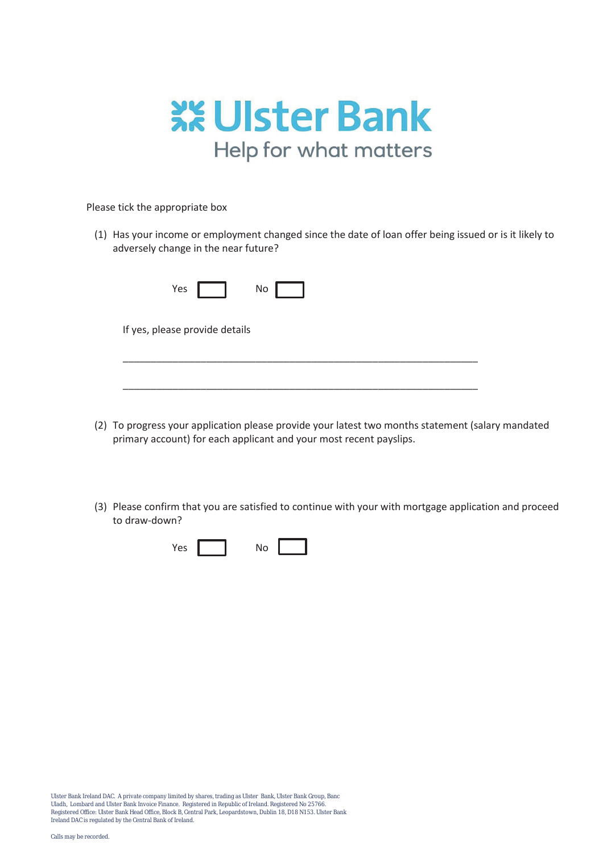

Please tick the appropriate box

(1) Has your income or employment changed since the date of loan offer being issued or is it likely to adversely change in the near future?

|     | No |  |
|-----|----|--|
| Yes |    |  |

If yes, please provide details

(2) To progress your application please provide your latest two months statement (salary mandated primary account) for each applicant and your most recent payslips.

\_\_\_\_\_\_\_\_\_\_\_\_\_\_\_\_\_\_\_\_\_\_\_\_\_\_\_\_\_\_\_\_\_\_\_\_\_\_\_\_\_\_\_\_\_\_\_\_\_\_\_\_\_\_\_\_\_\_\_\_\_\_\_\_

\_\_\_\_\_\_\_\_\_\_\_\_\_\_\_\_\_\_\_\_\_\_\_\_\_\_\_\_\_\_\_\_\_\_\_\_\_\_\_\_\_\_\_\_\_\_\_\_\_\_\_\_\_\_\_\_\_\_\_\_\_\_\_\_

(3) Please confirm that you are satisfied to continue with your with mortgage application and proceed to draw-down?



Ulster Bank Ireland DAC. A private company limited by shares, trading as Ulster Bank, Ulster Bank Group, Banc Uladh, Lombard and Ulster Bank Invoice Finance. Registered in Republic of Ireland. Registered No 25766. Registered Office: Ulster Bank Head Office, Block B, Central Park, Leopardstown, Dublin 18, D18 N153. Ulster Bank Ireland DAC is regulated by the Central Bank of Ireland.